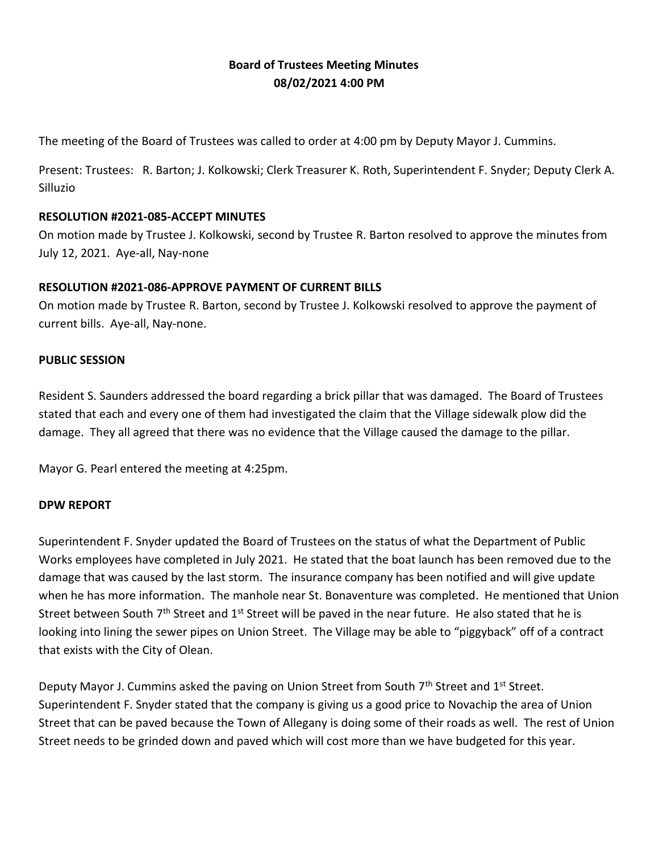## **Board of Trustees Meeting Minutes 08/02/2021 4:00 PM**

The meeting of the Board of Trustees was called to order at 4:00 pm by Deputy Mayor J. Cummins.

Present: Trustees: R. Barton; J. Kolkowski; Clerk Treasurer K. Roth, Superintendent F. Snyder; Deputy Clerk A. Silluzio

#### **RESOLUTION #2021-085-ACCEPT MINUTES**

On motion made by Trustee J. Kolkowski, second by Trustee R. Barton resolved to approve the minutes from July 12, 2021. Aye-all, Nay-none

#### **RESOLUTION #2021-086-APPROVE PAYMENT OF CURRENT BILLS**

On motion made by Trustee R. Barton, second by Trustee J. Kolkowski resolved to approve the payment of current bills. Aye-all, Nay-none.

#### **PUBLIC SESSION**

Resident S. Saunders addressed the board regarding a brick pillar that was damaged. The Board of Trustees stated that each and every one of them had investigated the claim that the Village sidewalk plow did the damage. They all agreed that there was no evidence that the Village caused the damage to the pillar.

Mayor G. Pearl entered the meeting at 4:25pm.

#### **DPW REPORT**

Superintendent F. Snyder updated the Board of Trustees on the status of what the Department of Public Works employees have completed in July 2021. He stated that the boat launch has been removed due to the damage that was caused by the last storm. The insurance company has been notified and will give update when he has more information. The manhole near St. Bonaventure was completed. He mentioned that Union Street between South 7<sup>th</sup> Street and 1<sup>st</sup> Street will be paved in the near future. He also stated that he is looking into lining the sewer pipes on Union Street. The Village may be able to "piggyback" off of a contract that exists with the City of Olean.

Deputy Mayor J. Cummins asked the paving on Union Street from South 7<sup>th</sup> Street and 1<sup>st</sup> Street. Superintendent F. Snyder stated that the company is giving us a good price to Novachip the area of Union Street that can be paved because the Town of Allegany is doing some of their roads as well. The rest of Union Street needs to be grinded down and paved which will cost more than we have budgeted for this year.